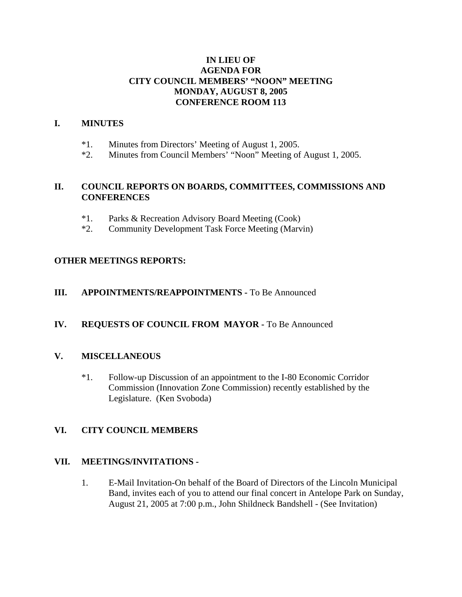# **IN LIEU OF AGENDA FOR CITY COUNCIL MEMBERS' "NOON" MEETING MONDAY, AUGUST 8, 2005 CONFERENCE ROOM 113**

## **I. MINUTES**

- \*1. Minutes from Directors' Meeting of August 1, 2005.
- \*2. Minutes from Council Members' "Noon" Meeting of August 1, 2005.

## **II. COUNCIL REPORTS ON BOARDS, COMMITTEES, COMMISSIONS AND CONFERENCES**

- \*1. Parks & Recreation Advisory Board Meeting (Cook)
- \*2. Community Development Task Force Meeting (Marvin)

## **OTHER MEETINGS REPORTS:**

#### **III.** APPOINTMENTS/REAPPOINTMENTS - To Be Announced

#### **IV. REQUESTS OF COUNCIL FROM MAYOR -** To Be Announced

#### **V. MISCELLANEOUS**

\*1. Follow-up Discussion of an appointment to the I-80 Economic Corridor Commission (Innovation Zone Commission) recently established by the Legislature. (Ken Svoboda)

#### **VI. CITY COUNCIL MEMBERS**

#### **VII. MEETINGS/INVITATIONS -**

1. E-Mail Invitation-On behalf of the Board of Directors of the Lincoln Municipal Band, invites each of you to attend our final concert in Antelope Park on Sunday, August 21, 2005 at 7:00 p.m., John Shildneck Bandshell - (See Invitation)